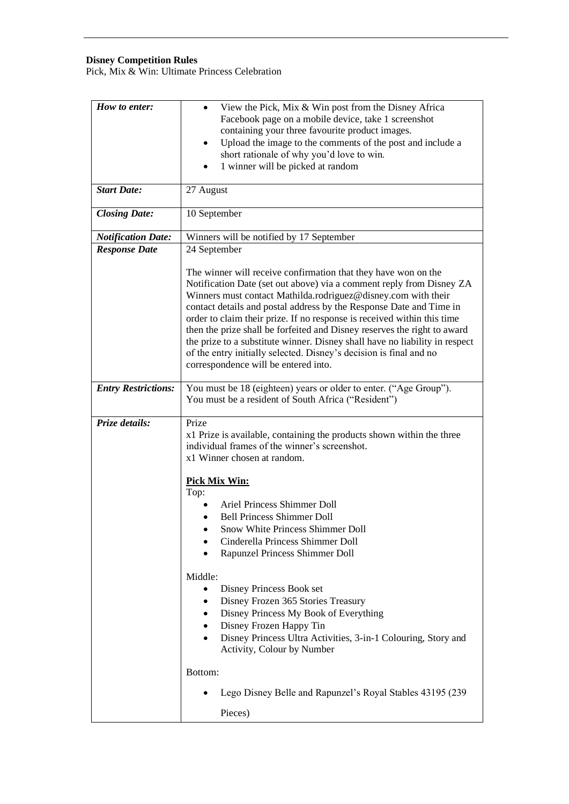## **Disney Competition Rules**

Pick, Mix & Win: Ultimate Princess Celebration

| How to enter:              | View the Pick, Mix & Win post from the Disney Africa<br>Facebook page on a mobile device, take 1 screenshot<br>containing your three favourite product images.<br>Upload the image to the comments of the post and include a<br>$\bullet$<br>short rationale of why you'd love to win.<br>1 winner will be picked at random                                                                                                                                                                                                                                                                                                        |
|----------------------------|------------------------------------------------------------------------------------------------------------------------------------------------------------------------------------------------------------------------------------------------------------------------------------------------------------------------------------------------------------------------------------------------------------------------------------------------------------------------------------------------------------------------------------------------------------------------------------------------------------------------------------|
| <b>Start Date:</b>         | 27 August                                                                                                                                                                                                                                                                                                                                                                                                                                                                                                                                                                                                                          |
| <b>Closing Date:</b>       | 10 September                                                                                                                                                                                                                                                                                                                                                                                                                                                                                                                                                                                                                       |
| <b>Notification Date:</b>  | Winners will be notified by 17 September                                                                                                                                                                                                                                                                                                                                                                                                                                                                                                                                                                                           |
| <b>Response Date</b>       | 24 September                                                                                                                                                                                                                                                                                                                                                                                                                                                                                                                                                                                                                       |
|                            | The winner will receive confirmation that they have won on the<br>Notification Date (set out above) via a comment reply from Disney ZA<br>Winners must contact Mathilda.rodriguez@disney.com with their<br>contact details and postal address by the Response Date and Time in<br>order to claim their prize. If no response is received within this time<br>then the prize shall be forfeited and Disney reserves the right to award<br>the prize to a substitute winner. Disney shall have no liability in respect<br>of the entry initially selected. Disney's decision is final and no<br>correspondence will be entered into. |
| <b>Entry Restrictions:</b> | You must be 18 (eighteen) years or older to enter. ("Age Group").<br>You must be a resident of South Africa ("Resident")                                                                                                                                                                                                                                                                                                                                                                                                                                                                                                           |
| Prize details:             | Prize<br>x1 Prize is available, containing the products shown within the three<br>individual frames of the winner's screenshot.<br>x1 Winner chosen at random.                                                                                                                                                                                                                                                                                                                                                                                                                                                                     |
|                            | <b>Pick Mix Win:</b>                                                                                                                                                                                                                                                                                                                                                                                                                                                                                                                                                                                                               |
|                            | Top:                                                                                                                                                                                                                                                                                                                                                                                                                                                                                                                                                                                                                               |
|                            | Ariel Princess Shimmer Doll                                                                                                                                                                                                                                                                                                                                                                                                                                                                                                                                                                                                        |
|                            | <b>Bell Princess Shimmer Doll</b>                                                                                                                                                                                                                                                                                                                                                                                                                                                                                                                                                                                                  |
|                            | Snow White Princess Shimmer Doll                                                                                                                                                                                                                                                                                                                                                                                                                                                                                                                                                                                                   |
|                            | Cinderella Princess Shimmer Doll<br>Rapunzel Princess Shimmer Doll                                                                                                                                                                                                                                                                                                                                                                                                                                                                                                                                                                 |
|                            |                                                                                                                                                                                                                                                                                                                                                                                                                                                                                                                                                                                                                                    |
|                            | Middle:                                                                                                                                                                                                                                                                                                                                                                                                                                                                                                                                                                                                                            |
|                            | Disney Princess Book set                                                                                                                                                                                                                                                                                                                                                                                                                                                                                                                                                                                                           |
|                            | Disney Frozen 365 Stories Treasury<br>$\bullet$                                                                                                                                                                                                                                                                                                                                                                                                                                                                                                                                                                                    |
|                            | Disney Princess My Book of Everything<br>$\bullet$<br>Disney Frozen Happy Tin<br>$\bullet$<br>Disney Princess Ultra Activities, 3-in-1 Colouring, Story and<br>$\bullet$<br>Activity, Colour by Number                                                                                                                                                                                                                                                                                                                                                                                                                             |
|                            | Bottom:                                                                                                                                                                                                                                                                                                                                                                                                                                                                                                                                                                                                                            |
|                            | Lego Disney Belle and Rapunzel's Royal Stables 43195 (239)                                                                                                                                                                                                                                                                                                                                                                                                                                                                                                                                                                         |
|                            | Pieces)                                                                                                                                                                                                                                                                                                                                                                                                                                                                                                                                                                                                                            |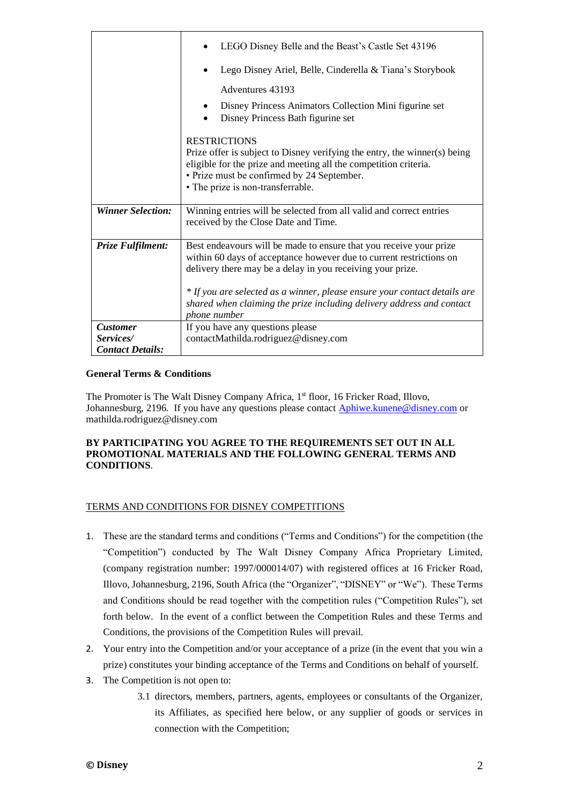|                              | LEGO Disney Belle and the Beast's Castle Set 43196                                                                                                                                                                                                                                                                                                            |
|------------------------------|---------------------------------------------------------------------------------------------------------------------------------------------------------------------------------------------------------------------------------------------------------------------------------------------------------------------------------------------------------------|
|                              | Lego Disney Ariel, Belle, Cinderella & Tiana's Storybook                                                                                                                                                                                                                                                                                                      |
|                              | Adventures 43193                                                                                                                                                                                                                                                                                                                                              |
|                              | Disney Princess Animators Collection Mini figurine set<br>Disney Princess Bath figurine set<br>$\bullet$                                                                                                                                                                                                                                                      |
|                              | <b>RESTRICTIONS</b><br>Prize offer is subject to Disney verifying the entry, the winner(s) being<br>eligible for the prize and meeting all the competition criteria.<br>• Prize must be confirmed by 24 September.<br>• The prize is non-transferrable.                                                                                                       |
| <b>Winner Selection:</b>     | Winning entries will be selected from all valid and correct entries<br>received by the Close Date and Time.                                                                                                                                                                                                                                                   |
| Prize Fulfilment:            | Best endeavours will be made to ensure that you receive your prize<br>within 60 days of acceptance however due to current restrictions on<br>delivery there may be a delay in you receiving your prize.<br>* If you are selected as a winner, please ensure your contact details are<br>shared when claiming the prize including delivery address and contact |
|                              | phone number                                                                                                                                                                                                                                                                                                                                                  |
| <b>Customer</b><br>Services/ | If you have any questions please<br>contactMathilda.rodriguez@disney.com                                                                                                                                                                                                                                                                                      |
| <b>Contact Details:</b>      |                                                                                                                                                                                                                                                                                                                                                               |

## **General Terms & Conditions**

The Promoter is The Walt Disney Company Africa, 1<sup>st</sup> floor, 16 Fricker Road, Illovo, Johannesburg, 2196. If you have any questions please contact [Aphiwe.kunene@disney.com](mailto:Aphiwe.kunene@disney.com) or mathilda.rodriguez@disney.com

## **BY PARTICIPATING YOU AGREE TO THE REQUIREMENTS SET OUT IN ALL PROMOTIONAL MATERIALS AND THE FOLLOWING GENERAL TERMS AND CONDITIONS**.

## TERMS AND CONDITIONS FOR DISNEY COMPETITIONS

- 1. These are the standard terms and conditions ("Terms and Conditions") for the competition (the "Competition") conducted by The Walt Disney Company Africa Proprietary Limited, (company registration number: 1997/000014/07) with registered offices at 16 Fricker Road, Illovo, Johannesburg, 2196, South Africa (the "Organizer", "DISNEY" or "We"). These Terms and Conditions should be read together with the competition rules ("Competition Rules"), set forth below. In the event of a conflict between the Competition Rules and these Terms and Conditions, the provisions of the Competition Rules will prevail.
- 2. Your entry into the Competition and/or your acceptance of a prize (in the event that you win a prize) constitutes your binding acceptance of the Terms and Conditions on behalf of yourself.
- 3. The Competition is not open to:
	- 3.1 directors, members, partners, agents, employees or consultants of the Organizer, its Affiliates, as specified here below, or any supplier of goods or services in connection with the Competition;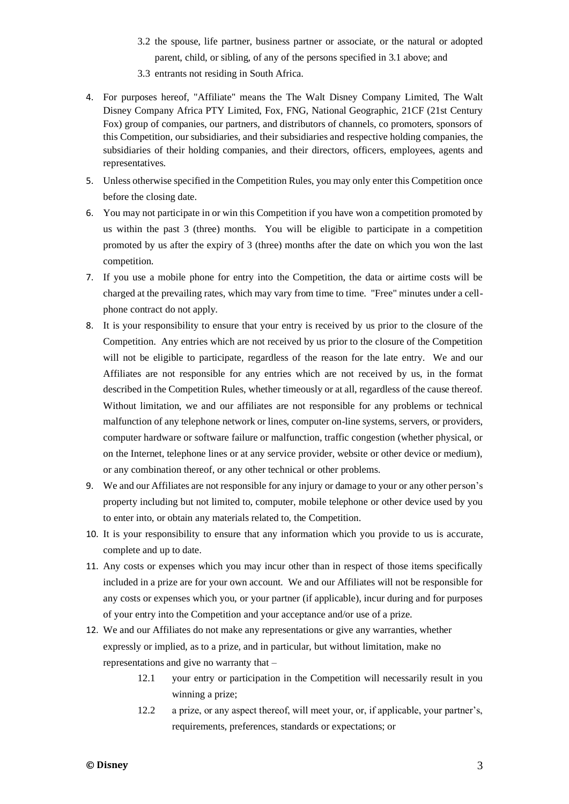- 3.2 the spouse, life partner, business partner or associate, or the natural or adopted parent, child, or sibling, of any of the persons specified in 3.1 above; and
- 3.3 entrants not residing in South Africa.
- 4. For purposes hereof, "Affiliate" means the The Walt Disney Company Limited, The Walt Disney Company Africa PTY Limited, Fox, FNG, National Geographic, 21CF (21st Century Fox) group of companies, our partners, and distributors of channels, co promoters, sponsors of this Competition, our subsidiaries, and their subsidiaries and respective holding companies, the subsidiaries of their holding companies, and their directors, officers, employees, agents and representatives.
- 5. Unless otherwise specified in the Competition Rules, you may only enter this Competition once before the closing date.
- 6. You may not participate in or win this Competition if you have won a competition promoted by us within the past 3 (three) months. You will be eligible to participate in a competition promoted by us after the expiry of 3 (three) months after the date on which you won the last competition.
- 7. If you use a mobile phone for entry into the Competition, the data or airtime costs will be charged at the prevailing rates, which may vary from time to time. "Free" minutes under a cellphone contract do not apply.
- 8. It is your responsibility to ensure that your entry is received by us prior to the closure of the Competition. Any entries which are not received by us prior to the closure of the Competition will not be eligible to participate, regardless of the reason for the late entry. We and our Affiliates are not responsible for any entries which are not received by us, in the format described in the Competition Rules, whether timeously or at all, regardless of the cause thereof. Without limitation, we and our affiliates are not responsible for any problems or technical malfunction of any telephone network or lines, computer on-line systems, servers, or providers, computer hardware or software failure or malfunction, traffic congestion (whether physical, or on the Internet, telephone lines or at any service provider, website or other device or medium), or any combination thereof, or any other technical or other problems.
- 9. We and our Affiliates are not responsible for any injury or damage to your or any other person's property including but not limited to, computer, mobile telephone or other device used by you to enter into, or obtain any materials related to, the Competition.
- 10. It is your responsibility to ensure that any information which you provide to us is accurate, complete and up to date.
- 11. Any costs or expenses which you may incur other than in respect of those items specifically included in a prize are for your own account. We and our Affiliates will not be responsible for any costs or expenses which you, or your partner (if applicable), incur during and for purposes of your entry into the Competition and your acceptance and/or use of a prize.
- 12. We and our Affiliates do not make any representations or give any warranties, whether expressly or implied, as to a prize, and in particular, but without limitation, make no representations and give no warranty that –
	- 12.1 your entry or participation in the Competition will necessarily result in you winning a prize;
	- 12.2 a prize, or any aspect thereof, will meet your, or, if applicable, your partner's, requirements, preferences, standards or expectations; or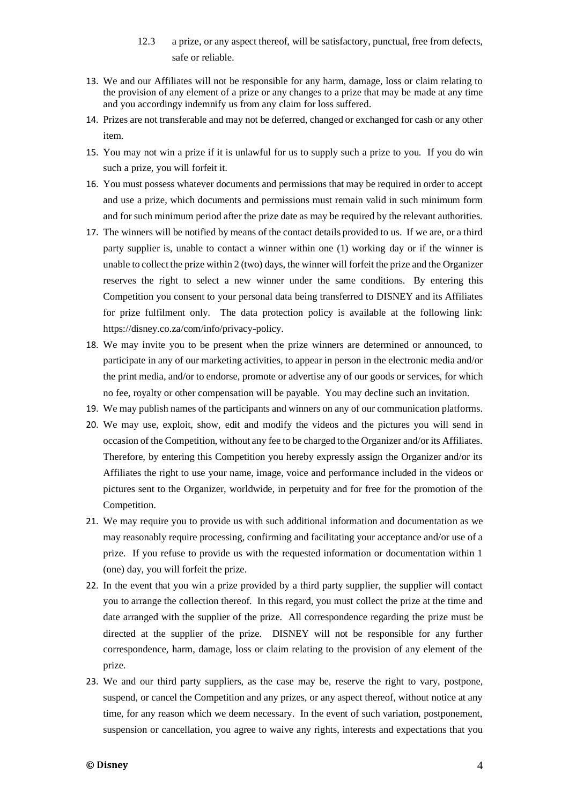- 12.3 a prize, or any aspect thereof, will be satisfactory, punctual, free from defects, safe or reliable.
- 13. We and our Affiliates will not be responsible for any harm, damage, loss or claim relating to the provision of any element of a prize or any changes to a prize that may be made at any time and you accordingy indemnify us from any claim for loss suffered.
- 14. Prizes are not transferable and may not be deferred, changed or exchanged for cash or any other item.
- 15. You may not win a prize if it is unlawful for us to supply such a prize to you. If you do win such a prize, you will forfeit it.
- 16. You must possess whatever documents and permissions that may be required in order to accept and use a prize, which documents and permissions must remain valid in such minimum form and for such minimum period after the prize date as may be required by the relevant authorities.
- 17. The winners will be notified by means of the contact details provided to us. If we are, or a third party supplier is, unable to contact a winner within one (1) working day or if the winner is unable to collect the prize within 2 (two) days, the winner will forfeit the prize and the Organizer reserves the right to select a new winner under the same conditions. By entering this Competition you consent to your personal data being transferred to DISNEY and its Affiliates for prize fulfilment only. The data protection policy is available at the following link: [https://disney.co.za/com/info/privacy-policy.](https://disney.co.za/com/info/privacy-policy)
- 18. We may invite you to be present when the prize winners are determined or announced, to participate in any of our marketing activities, to appear in person in the electronic media and/or the print media, and/or to endorse, promote or advertise any of our goods or services, for which no fee, royalty or other compensation will be payable. You may decline such an invitation.
- 19. We may publish names of the participants and winners on any of our communication platforms.
- 20. We may use, exploit, show, edit and modify the videos and the pictures you will send in occasion of the Competition, without any fee to be charged to the Organizer and/or its Affiliates. Therefore, by entering this Competition you hereby expressly assign the Organizer and/or its Affiliates the right to use your name, image, voice and performance included in the videos or pictures sent to the Organizer, worldwide, in perpetuity and for free for the promotion of the Competition.
- 21. We may require you to provide us with such additional information and documentation as we may reasonably require processing, confirming and facilitating your acceptance and/or use of a prize. If you refuse to provide us with the requested information or documentation within 1 (one) day, you will forfeit the prize.
- 22. In the event that you win a prize provided by a third party supplier, the supplier will contact you to arrange the collection thereof. In this regard, you must collect the prize at the time and date arranged with the supplier of the prize. All correspondence regarding the prize must be directed at the supplier of the prize. DISNEY will not be responsible for any further correspondence, harm, damage, loss or claim relating to the provision of any element of the prize.
- 23. We and our third party suppliers, as the case may be, reserve the right to vary, postpone, suspend, or cancel the Competition and any prizes, or any aspect thereof, without notice at any time, for any reason which we deem necessary. In the event of such variation, postponement, suspension or cancellation, you agree to waive any rights, interests and expectations that you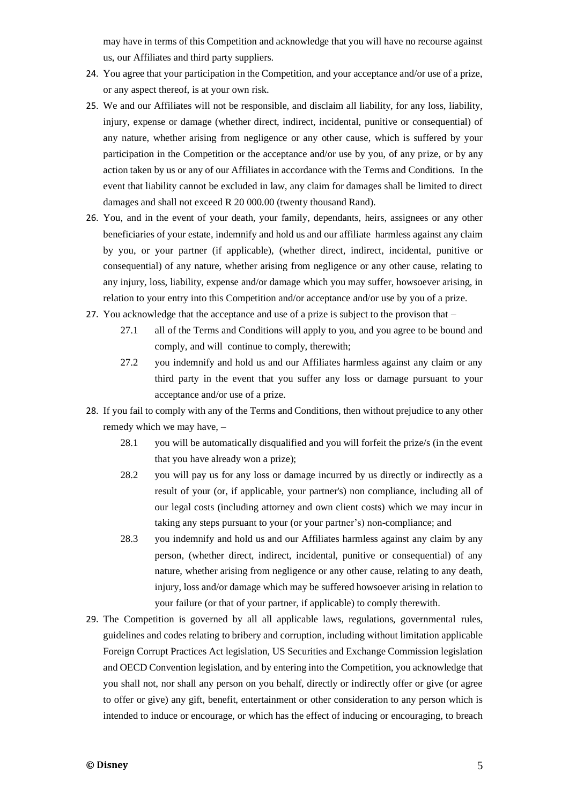may have in terms of this Competition and acknowledge that you will have no recourse against us, our Affiliates and third party suppliers.

- 24. You agree that your participation in the Competition, and your acceptance and/or use of a prize, or any aspect thereof, is at your own risk.
- 25. We and our Affiliates will not be responsible, and disclaim all liability, for any loss, liability, injury, expense or damage (whether direct, indirect, incidental, punitive or consequential) of any nature, whether arising from negligence or any other cause, which is suffered by your participation in the Competition or the acceptance and/or use by you, of any prize, or by any action taken by us or any of our Affiliates in accordance with the Terms and Conditions. In the event that liability cannot be excluded in law, any claim for damages shall be limited to direct damages and shall not exceed R 20 000.00 (twenty thousand Rand).
- 26. You, and in the event of your death, your family, dependants, heirs, assignees or any other beneficiaries of your estate, indemnify and hold us and our affiliate harmless against any claim by you, or your partner (if applicable), (whether direct, indirect, incidental, punitive or consequential) of any nature, whether arising from negligence or any other cause, relating to any injury, loss, liability, expense and/or damage which you may suffer, howsoever arising, in relation to your entry into this Competition and/or acceptance and/or use by you of a prize.
- 27. You acknowledge that the acceptance and use of a prize is subject to the provison that
	- 27.1 all of the Terms and Conditions will apply to you, and you agree to be bound and comply, and will continue to comply, therewith;
	- 27.2 you indemnify and hold us and our Affiliates harmless against any claim or any third party in the event that you suffer any loss or damage pursuant to your acceptance and/or use of a prize.
- 28. If you fail to comply with any of the Terms and Conditions, then without prejudice to any other remedy which we may have, –
	- 28.1 you will be automatically disqualified and you will forfeit the prize/s (in the event that you have already won a prize);
	- 28.2 you will pay us for any loss or damage incurred by us directly or indirectly as a result of your (or, if applicable, your partner's) non compliance, including all of our legal costs (including attorney and own client costs) which we may incur in taking any steps pursuant to your (or your partner's) non-compliance; and
	- 28.3 you indemnify and hold us and our Affiliates harmless against any claim by any person, (whether direct, indirect, incidental, punitive or consequential) of any nature, whether arising from negligence or any other cause, relating to any death, injury, loss and/or damage which may be suffered howsoever arising in relation to your failure (or that of your partner, if applicable) to comply therewith.
- 29. The Competition is governed by all all applicable laws, regulations, governmental rules, guidelines and codes relating to bribery and corruption, including without limitation applicable Foreign Corrupt Practices Act legislation, US Securities and Exchange Commission legislation and OECD Convention legislation, and by entering into the Competition, you acknowledge that you shall not, nor shall any person on you behalf, directly or indirectly offer or give (or agree to offer or give) any gift, benefit, entertainment or other consideration to any person which is intended to induce or encourage, or which has the effect of inducing or encouraging, to breach